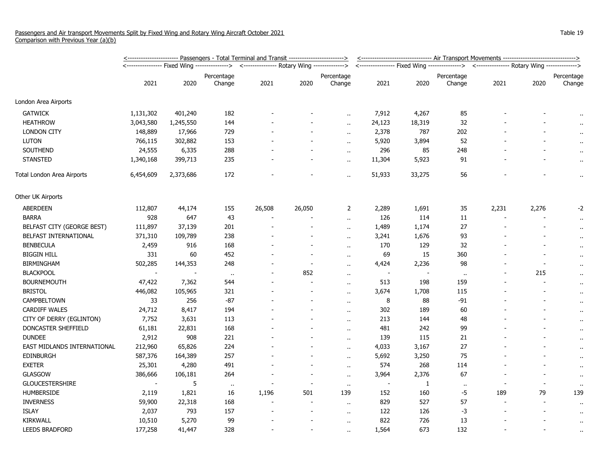|                             | <u>&lt;----------------------- Passengers - Total Terminal and Transit ------------------------&gt;</u> |           |                                                                                          |        |                          |                          |                          | <------------------------------ Air Transport Movements ------------------------------> |                      |                                                                                          |                          |                      |  |
|-----------------------------|---------------------------------------------------------------------------------------------------------|-----------|------------------------------------------------------------------------------------------|--------|--------------------------|--------------------------|--------------------------|-----------------------------------------------------------------------------------------|----------------------|------------------------------------------------------------------------------------------|--------------------------|----------------------|--|
|                             |                                                                                                         |           | <---------------- Fixed Wing --------------> <--------------- Rotary Wing -------------> |        |                          |                          |                          |                                                                                         |                      | <---------------- Fixed Wing --------------> <--------------- Rotary Wing -------------> |                          |                      |  |
|                             |                                                                                                         |           | Percentage                                                                               |        |                          | Percentage               |                          |                                                                                         | Percentage           |                                                                                          |                          | Percentage           |  |
|                             | 2021                                                                                                    | 2020      | Change                                                                                   | 2021   | 2020                     | Change                   | 2021                     | 2020                                                                                    | Change               | 2021                                                                                     | 2020                     | Change               |  |
| London Area Airports        |                                                                                                         |           |                                                                                          |        |                          |                          |                          |                                                                                         |                      |                                                                                          |                          |                      |  |
| <b>GATWICK</b>              | 1,131,302                                                                                               | 401,240   | 182                                                                                      |        |                          |                          | 7,912                    | 4,267                                                                                   | 85                   |                                                                                          |                          | $\ddot{\phantom{1}}$ |  |
| <b>HEATHROW</b>             | 3,043,580                                                                                               | 1,245,550 | 144                                                                                      |        |                          | à.                       | 24,123                   | 18,319                                                                                  | 32                   |                                                                                          |                          |                      |  |
| <b>LONDON CITY</b>          | 148,889                                                                                                 | 17,966    | 729                                                                                      |        |                          | $\ddot{\phantom{a}}$     | 2,378                    | 787                                                                                     | 202                  |                                                                                          |                          |                      |  |
| <b>LUTON</b>                | 766,115                                                                                                 | 302,882   | 153                                                                                      |        |                          | $\ddot{\phantom{a}}$     | 5,920                    | 3,894                                                                                   | 52                   |                                                                                          |                          |                      |  |
| SOUTHEND                    | 24,555                                                                                                  | 6,335     | 288                                                                                      |        |                          | $\ddot{\phantom{a}}$     | 296                      | 85                                                                                      | 248                  |                                                                                          |                          | $\ddot{\phantom{1}}$ |  |
| <b>STANSTED</b>             | 1,340,168                                                                                               | 399,713   | 235                                                                                      |        |                          | $\ddot{\phantom{a}}$     | 11,304                   | 5,923                                                                                   | 91                   |                                                                                          |                          | $\ddot{\phantom{1}}$ |  |
| Total London Area Airports  | 6,454,609                                                                                               | 2,373,686 | 172                                                                                      |        |                          | Ω.                       | 51,933                   | 33,275                                                                                  | 56                   |                                                                                          |                          | .,                   |  |
| Other UK Airports           |                                                                                                         |           |                                                                                          |        |                          |                          |                          |                                                                                         |                      |                                                                                          |                          |                      |  |
| <b>ABERDEEN</b>             | 112,807                                                                                                 | 44,174    | 155                                                                                      | 26,508 | 26,050                   | 2                        | 2,289                    | 1,691                                                                                   | 35                   | 2,231                                                                                    | 2,276                    | -2                   |  |
| <b>BARRA</b>                | 928                                                                                                     | 647       | 43                                                                                       |        |                          | $\ddot{\phantom{a}}$     | 126                      | 114                                                                                     | 11                   | ÷                                                                                        |                          | $\cdot$              |  |
| BELFAST CITY (GEORGE BEST)  | 111,897                                                                                                 | 37,139    | 201                                                                                      |        |                          | $\ddot{\phantom{a}}$     | 1,489                    | 1,174                                                                                   | 27                   |                                                                                          |                          | $\ddot{\phantom{1}}$ |  |
| BELFAST INTERNATIONAL       | 371,310                                                                                                 | 109,789   | 238                                                                                      |        |                          | $\ddot{\phantom{a}}$     | 3,241                    | 1,676                                                                                   | 93                   |                                                                                          |                          | $\ddot{\phantom{1}}$ |  |
| <b>BENBECULA</b>            | 2,459                                                                                                   | 916       | 168                                                                                      |        |                          | $\ddot{\phantom{a}}$     | 170                      | 129                                                                                     | 32                   |                                                                                          |                          | $\cdot$              |  |
| <b>BIGGIN HILL</b>          | 331                                                                                                     | 60        | 452                                                                                      |        | $\blacksquare$           | $\overline{\phantom{a}}$ | 69                       | 15                                                                                      | 360                  |                                                                                          |                          | $\ddot{\phantom{1}}$ |  |
| <b>BIRMINGHAM</b>           | 502,285                                                                                                 | 144,353   | 248                                                                                      |        | ÷.                       | ٠.                       | 4,424                    | 2,236                                                                                   | 98                   |                                                                                          |                          | $\ddot{\phantom{0}}$ |  |
| <b>BLACKPOOL</b>            |                                                                                                         |           | $\mathbf{H}$                                                                             |        | 852                      | $\sim$                   |                          |                                                                                         | $\bullet$            |                                                                                          | 215                      | $\ddot{\phantom{1}}$ |  |
| <b>BOURNEMOUTH</b>          | 47,422                                                                                                  | 7,362     | 544                                                                                      |        | $\overline{\phantom{a}}$ | $\ddot{\phantom{a}}$     | 513                      | 198                                                                                     | 159                  |                                                                                          |                          | $\ddot{\phantom{1}}$ |  |
| <b>BRISTOL</b>              | 446,082                                                                                                 | 105,965   | 321                                                                                      |        | $\blacksquare$           | $\ddot{\phantom{a}}$     | 3,674                    | 1,708                                                                                   | 115                  |                                                                                          |                          | $\ddot{\phantom{1}}$ |  |
| CAMPBELTOWN                 | 33                                                                                                      | 256       | $-87$                                                                                    |        |                          | $\sim$                   | 8                        | 88                                                                                      | -91                  |                                                                                          | $\sim$                   | $\ddot{\phantom{1}}$ |  |
| <b>CARDIFF WALES</b>        | 24,712                                                                                                  | 8,417     | 194                                                                                      |        |                          | $\ddot{\phantom{a}}$     | 302                      | 189                                                                                     | 60                   |                                                                                          |                          | $\ddot{\phantom{1}}$ |  |
| CITY OF DERRY (EGLINTON)    | 7,752                                                                                                   | 3,631     | 113                                                                                      |        |                          | ٠.                       | 213                      | 144                                                                                     | 48                   |                                                                                          |                          | $\ddot{\phantom{1}}$ |  |
| DONCASTER SHEFFIELD         | 61,181                                                                                                  | 22,831    | 168                                                                                      |        |                          | $\ddot{\phantom{a}}$     | 481                      | 242                                                                                     | 99                   |                                                                                          |                          | $\ddot{\phantom{1}}$ |  |
| <b>DUNDEE</b>               | 2,912                                                                                                   | 908       | 221                                                                                      |        |                          | $\ddot{\phantom{a}}$     | 139                      | 115                                                                                     | 21                   |                                                                                          |                          | $\ddot{\phantom{1}}$ |  |
| EAST MIDLANDS INTERNATIONAL | 212,960                                                                                                 | 65,826    | 224                                                                                      |        |                          | $\overline{\phantom{a}}$ | 4,033                    | 3,167                                                                                   | 27                   |                                                                                          |                          | $\ddot{\phantom{1}}$ |  |
| EDINBURGH                   | 587,376                                                                                                 | 164,389   | 257                                                                                      |        |                          | ٠.                       | 5,692                    | 3,250                                                                                   | 75                   |                                                                                          |                          | $\ddot{\phantom{1}}$ |  |
| <b>EXETER</b>               | 25,301                                                                                                  | 4,280     | 491                                                                                      |        |                          | ٠.                       | 574                      | 268                                                                                     | 114                  |                                                                                          |                          | $\ddot{\phantom{0}}$ |  |
| <b>GLASGOW</b>              | 386,666                                                                                                 | 106,181   | 264                                                                                      |        |                          | $\sim$                   | 3,964                    | 2,376                                                                                   | 67                   |                                                                                          |                          | $\ddot{\phantom{1}}$ |  |
| <b>GLOUCESTERSHIRE</b>      |                                                                                                         | 5         | $\sim$                                                                                   |        | $\overline{\phantom{a}}$ | $\alpha$                 | $\overline{\phantom{a}}$ | $\mathbf{1}$                                                                            | $\ddot{\phantom{a}}$ |                                                                                          |                          | $\ddot{\phantom{1}}$ |  |
| <b>HUMBERSIDE</b>           | 2,119                                                                                                   | 1,821     | 16                                                                                       | 1,196  | 501                      | 139                      | 152                      | 160                                                                                     | $-5$                 | 189                                                                                      | 79                       | 139                  |  |
| <b>INVERNESS</b>            | 59,900                                                                                                  | 22,318    | 168                                                                                      |        |                          | $\ddot{\phantom{a}}$     | 829                      | 527                                                                                     | 57                   | $\overline{\phantom{a}}$                                                                 | $\overline{\phantom{a}}$ | $\ddot{\phantom{1}}$ |  |
| <b>ISLAY</b>                | 2,037                                                                                                   | 793       | 157                                                                                      |        |                          | $\ddot{\phantom{a}}$     | 122                      | 126                                                                                     | -3                   |                                                                                          |                          | $\ddot{\phantom{1}}$ |  |
| KIRKWALL                    | 10,510                                                                                                  | 5,270     | 99                                                                                       |        |                          | $\ddot{\phantom{a}}$     | 822                      | 726                                                                                     | 13                   |                                                                                          |                          | $\ddot{\phantom{1}}$ |  |
| <b>LEEDS BRADFORD</b>       | 177,258                                                                                                 | 41,447    | 328                                                                                      |        |                          | $\ddot{\phantom{a}}$     | 1,564                    | 673                                                                                     | 132                  |                                                                                          |                          | $\ddot{\phantom{1}}$ |  |